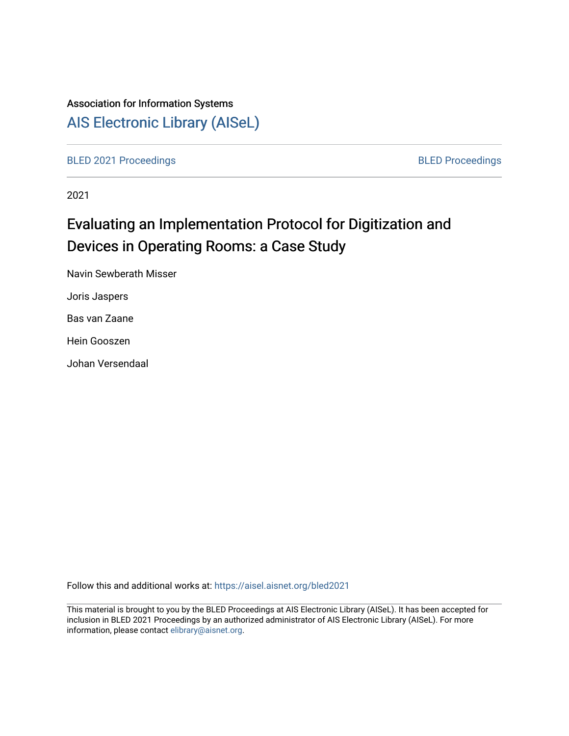# Association for Information Systems

[AIS Electronic Library \(AISeL\)](https://aisel.aisnet.org/)

[BLED 2021 Proceedings](https://aisel.aisnet.org/bled2021) **BLED Proceedings** 

2021

# Evaluating an Implementation Protocol for Digitization and Devices in Operating Rooms: a Case Study

Navin Sewberath Misser

Joris Jaspers

Bas van Zaane

Hein Gooszen

Johan Versendaal

Follow this and additional works at: [https://aisel.aisnet.org/bled2021](https://aisel.aisnet.org/bled2021?utm_source=aisel.aisnet.org%2Fbled2021%2F39&utm_medium=PDF&utm_campaign=PDFCoverPages) 

This material is brought to you by the BLED Proceedings at AIS Electronic Library (AISeL). It has been accepted for inclusion in BLED 2021 Proceedings by an authorized administrator of AIS Electronic Library (AISeL). For more information, please contact [elibrary@aisnet.org.](mailto:elibrary@aisnet.org%3E)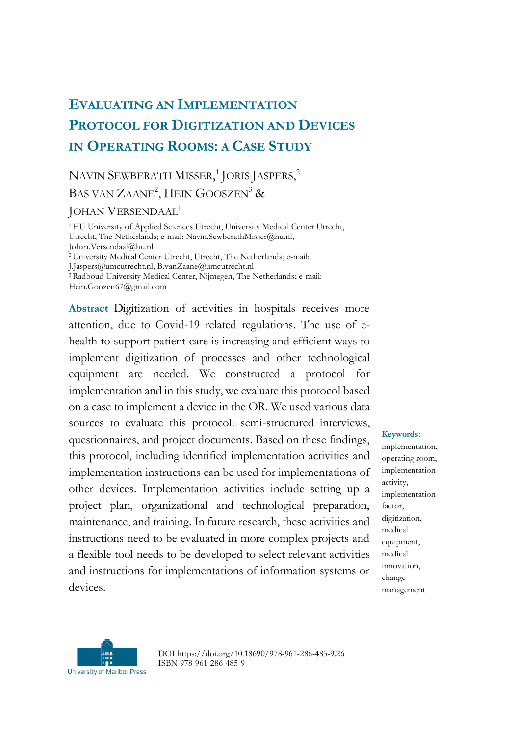# **EVALUATING AN IMPLEMENTATION PROTOCOL FOR DIGITIZATION AND DEVICES IN OPERATING ROOMS: A CASE STUDY**

## NAVIN SEWBERATH MISSER,<sup>1</sup> JORIS JASPERS,<sup>2</sup> BAS VAN  $\rm ZAANE^{2}$ , HEIN  $\rm GOOSZEN^{3}$  &

#### JOHAN VERSENDAAL<sup>1</sup>

<sup>1</sup>HU University of Applied Sciences Utrecht, University Medical Center Utrecht, Utrecht, The Netherlands; e-mail: Navin.SewberathMisser@hu.nl, Johan.Versendaal@hu.nl <sup>2</sup>University Medical Center Utrecht, Utrecht, The Netherlands; e-mail: J.Jaspers@umcutrecht.nl, B.vanZaane@umcutrecht.nl

<sup>3</sup>Radboud University Medical Center, Nijmegen, The Netherlands; e-mail:

Hein.Goozen67@gmail.com

**Abstract** Digitization of activities in hospitals receives more attention, due to Covid-19 related regulations. The use of ehealth to support patient care is increasing and efficient ways to implement digitization of processes and other technological equipment are needed. We constructed a protocol for implementation and in this study, we evaluate this protocol based on a case to implement a device in the OR. We used various data sources to evaluate this protocol: semi-structured interviews, questionnaires, and project documents. Based on these findings, this protocol, including identified implementation activities and implementation instructions can be used for implementations of other devices. Implementation activities include setting up a project plan, organizational and technological preparation, maintenance, and training. In future research, these activities and instructions need to be evaluated in more complex projects and a flexible tool needs to be developed to select relevant activities and instructions for implementations of information systems or devices.

#### **Keywords:**

implementation, operating room, implementation activity, implementation factor, digitization, medical equipment, medical innovation, change management



DOI https://doi.org/10.18690/978-961-286-485-9.26 ISBN 978-961-286-485-9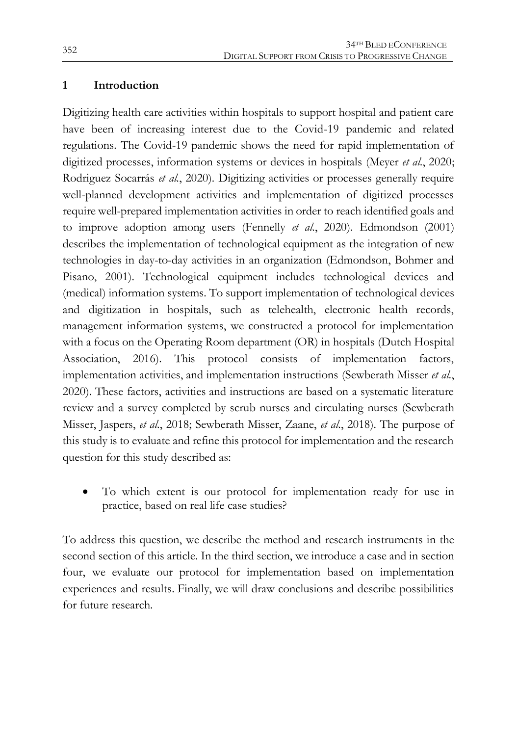#### **1 Introduction**

Digitizing health care activities within hospitals to support hospital and patient care have been of increasing interest due to the Covid-19 pandemic and related regulations. The Covid-19 pandemic shows the need for rapid implementation of digitized processes, information systems or devices in hospitals (Meyer *et al.*, 2020; Rodriguez Socarrás *et al.*, 2020). Digitizing activities or processes generally require well-planned development activities and implementation of digitized processes require well-prepared implementation activities in order to reach identified goals and to improve adoption among users (Fennelly *et al.*, 2020). Edmondson (2001) describes the implementation of technological equipment as the integration of new technologies in day-to-day activities in an organization (Edmondson, Bohmer and Pisano, 2001). Technological equipment includes technological devices and (medical) information systems. To support implementation of technological devices and digitization in hospitals, such as telehealth, electronic health records, management information systems, we constructed a protocol for implementation with a focus on the Operating Room department (OR) in hospitals (Dutch Hospital Association, 2016). This protocol consists of implementation factors, implementation activities, and implementation instructions (Sewberath Misser *et al.*, 2020). These factors, activities and instructions are based on a systematic literature review and a survey completed by scrub nurses and circulating nurses (Sewberath Misser, Jaspers, *et al.*, 2018; Sewberath Misser, Zaane, *et al.*, 2018). The purpose of this study is to evaluate and refine this protocol for implementation and the research question for this study described as:

 To which extent is our protocol for implementation ready for use in practice, based on real life case studies?

To address this question, we describe the method and research instruments in the second section of this article. In the third section, we introduce a case and in section four, we evaluate our protocol for implementation based on implementation experiences and results. Finally, we will draw conclusions and describe possibilities for future research.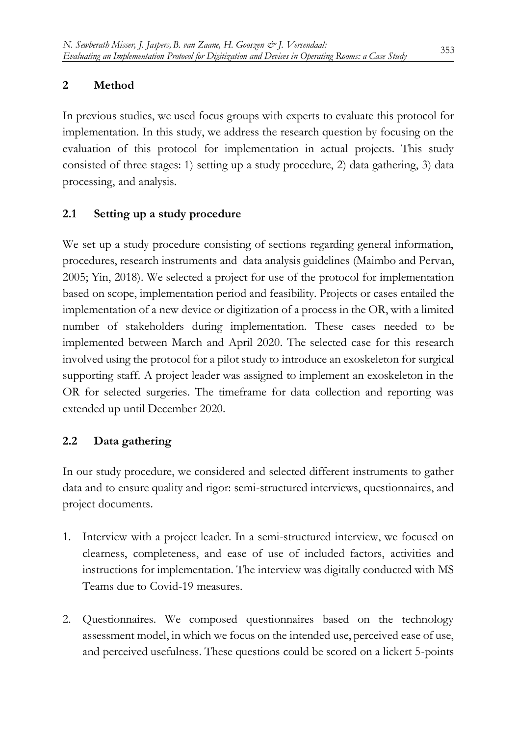#### **2 Method**

In previous studies, we used focus groups with experts to evaluate this protocol for implementation. In this study, we address the research question by focusing on the evaluation of this protocol for implementation in actual projects. This study consisted of three stages: 1) setting up a study procedure, 2) data gathering, 3) data processing, and analysis.

### **2.1 Setting up a study procedure**

We set up a study procedure consisting of sections regarding general information, procedures, research instruments and data analysis guidelines (Maimbo and Pervan, 2005; Yin, 2018). We selected a project for use of the protocol for implementation based on scope, implementation period and feasibility. Projects or cases entailed the implementation of a new device or digitization of a process in the OR, with a limited number of stakeholders during implementation. These cases needed to be implemented between March and April 2020. The selected case for this research involved using the protocol for a pilot study to introduce an exoskeleton for surgical supporting staff. A project leader was assigned to implement an exoskeleton in the OR for selected surgeries. The timeframe for data collection and reporting was extended up until December 2020.

### **2.2 Data gathering**

In our study procedure, we considered and selected different instruments to gather data and to ensure quality and rigor: semi-structured interviews, questionnaires, and project documents.

- 1. Interview with a project leader. In a semi-structured interview, we focused on clearness, completeness, and ease of use of included factors, activities and instructions for implementation. The interview was digitally conducted with MS Teams due to Covid-19 measures.
- 2. Questionnaires. We composed questionnaires based on the technology assessment model, in which we focus on the intended use, perceived ease of use, and perceived usefulness. These questions could be scored on a lickert 5-points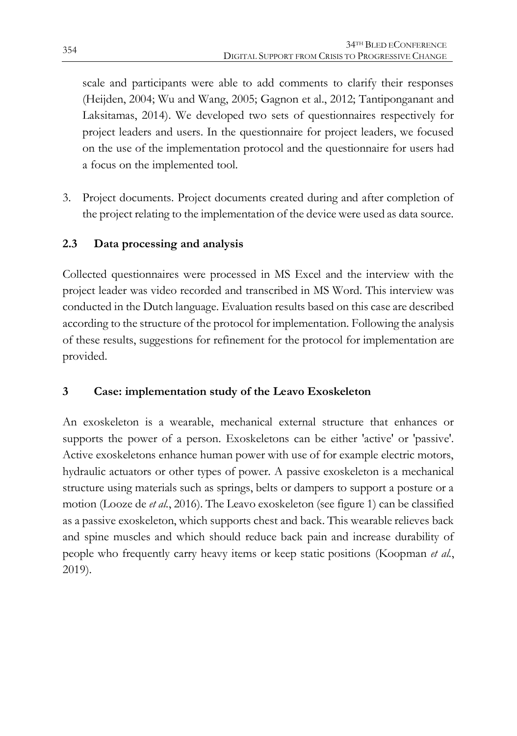scale and participants were able to add comments to clarify their responses (Heijden, 2004; Wu and Wang, 2005; Gagnon et al., 2012; Tantiponganant and Laksitamas, 2014). We developed two sets of questionnaires respectively for project leaders and users. In the questionnaire for project leaders, we focused on the use of the implementation protocol and the questionnaire for users had a focus on the implemented tool.

3. Project documents. Project documents created during and after completion of the project relating to the implementation of the device were used as data source.

## **2.3 Data processing and analysis**

Collected questionnaires were processed in MS Excel and the interview with the project leader was video recorded and transcribed in MS Word. This interview was conducted in the Dutch language. Evaluation results based on this case are described according to the structure of the protocol for implementation. Following the analysis of these results, suggestions for refinement for the protocol for implementation are provided.

### **3 Case: implementation study of the Leavo Exoskeleton**

An exoskeleton is a wearable, mechanical external structure that enhances or supports the power of a person. Exoskeletons can be either 'active' or 'passive'. Active exoskeletons enhance human power with use of for example electric motors, hydraulic actuators or other types of power. A passive exoskeleton is a mechanical structure using materials such as springs, belts or dampers to support a posture or a motion (Looze de *et al.*, 2016). The Leavo exoskeleton (see figure 1) can be classified as a passive exoskeleton, which supports chest and back. This wearable relieves back and spine muscles and which should reduce back pain and increase durability of people who frequently carry heavy items or keep static positions (Koopman *et al.*, 2019).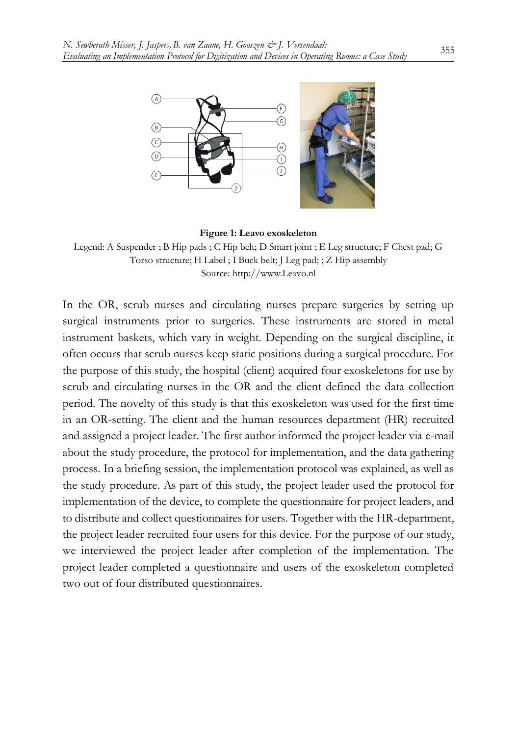

**Figure 1: Leavo exoskeleton**

Legend: A Suspender ; B Hip pads ; C Hip belt; D Smart joint ; E Leg structure; F Chest pad; G Torso structure; H Label ; I Buck belt; J Leg pad; ; Z Hip assembly Source[: http://www.Leavo.nl](http://www.leavo.nl/)

In the OR, scrub nurses and circulating nurses prepare surgeries by setting up surgical instruments prior to surgeries. These instruments are stored in metal instrument baskets, which vary in weight. Depending on the surgical discipline, it often occurs that scrub nurses keep static positions during a surgical procedure. For the purpose of this study, the hospital (client) acquired four exoskeletons for use by scrub and circulating nurses in the OR and the client defined the data collection period. The novelty of this study is that this exoskeleton was used for the first time in an OR-setting. The client and the human resources department (HR) recruited and assigned a project leader. The first author informed the project leader via e-mail about the study procedure, the protocol for implementation, and the data gathering process. In a briefing session, the implementation protocol was explained, as well as the study procedure. As part of this study, the project leader used the protocol for implementation of the device, to complete the questionnaire for project leaders, and to distribute and collect questionnaires for users. Together with the HR-department, the project leader recruited four users for this device. For the purpose of our study, we interviewed the project leader after completion of the implementation. The project leader completed a questionnaire and users of the exoskeleton completed two out of four distributed questionnaires.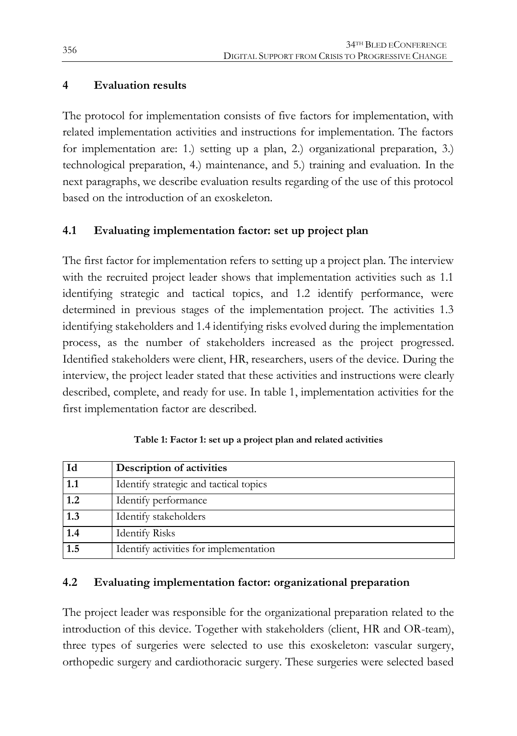#### **4 Evaluation results**

The protocol for implementation consists of five factors for implementation, with related implementation activities and instructions for implementation. The factors for implementation are: 1.) setting up a plan, 2.) organizational preparation, 3.) technological preparation, 4.) maintenance, and 5.) training and evaluation. In the next paragraphs, we describe evaluation results regarding of the use of this protocol based on the introduction of an exoskeleton.

### **4.1 Evaluating implementation factor: set up project plan**

The first factor for implementation refers to setting up a project plan. The interview with the recruited project leader shows that implementation activities such as 1.1 identifying strategic and tactical topics, and 1.2 identify performance, were determined in previous stages of the implementation project. The activities 1.3 identifying stakeholders and 1.4 identifying risks evolved during the implementation process, as the number of stakeholders increased as the project progressed. Identified stakeholders were client, HR, researchers, users of the device. During the interview, the project leader stated that these activities and instructions were clearly described, complete, and ready for use. In table 1, implementation activities for the first implementation factor are described.

| Id               | Description of activities              |
|------------------|----------------------------------------|
| 1.1              | Identify strategic and tactical topics |
| 1.2              | Identify performance                   |
| 1.3              | Identify stakeholders                  |
| 1.4              | <b>Identify Risks</b>                  |
| $\overline{1.5}$ | Identify activities for implementation |

**Table 1: Factor 1: set up a project plan and related activities**

### **4.2 Evaluating implementation factor: organizational preparation**

The project leader was responsible for the organizational preparation related to the introduction of this device. Together with stakeholders (client, HR and OR-team), three types of surgeries were selected to use this exoskeleton: vascular surgery, orthopedic surgery and cardiothoracic surgery. These surgeries were selected based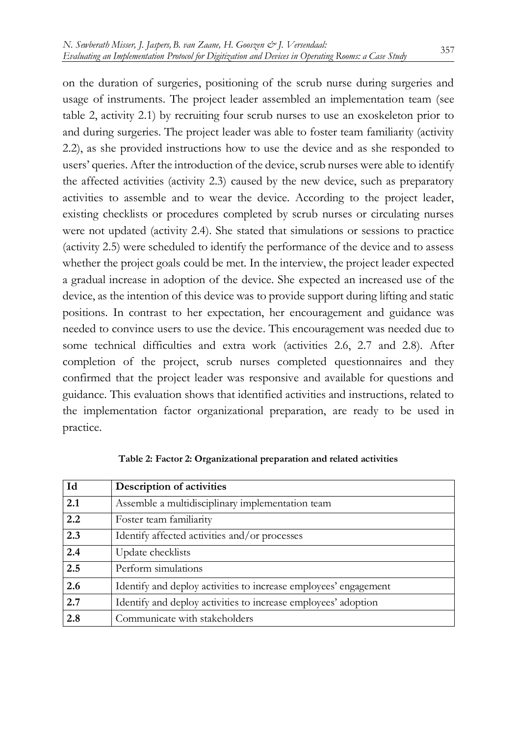on the duration of surgeries, positioning of the scrub nurse during surgeries and usage of instruments. The project leader assembled an implementation team (see table 2, activity 2.1) by recruiting four scrub nurses to use an exoskeleton prior to and during surgeries. The project leader was able to foster team familiarity (activity 2.2), as she provided instructions how to use the device and as she responded to users' queries. After the introduction of the device, scrub nurses were able to identify the affected activities (activity 2.3) caused by the new device, such as preparatory activities to assemble and to wear the device. According to the project leader, existing checklists or procedures completed by scrub nurses or circulating nurses were not updated (activity 2.4). She stated that simulations or sessions to practice (activity 2.5) were scheduled to identify the performance of the device and to assess whether the project goals could be met. In the interview, the project leader expected a gradual increase in adoption of the device. She expected an increased use of the device, as the intention of this device was to provide support during lifting and static positions. In contrast to her expectation, her encouragement and guidance was needed to convince users to use the device. This encouragement was needed due to some technical difficulties and extra work (activities 2.6, 2.7 and 2.8). After completion of the project, scrub nurses completed questionnaires and they confirmed that the project leader was responsive and available for questions and guidance. This evaluation shows that identified activities and instructions, related to the implementation factor organizational preparation, are ready to be used in practice.

| Id  | Description of activities                                        |
|-----|------------------------------------------------------------------|
| 2.1 | Assemble a multidisciplinary implementation team                 |
| 2.2 | Foster team familiarity                                          |
| 2.3 | Identify affected activities and/or processes                    |
| 2.4 | Update checklists                                                |
| 2.5 | Perform simulations                                              |
| 2.6 | Identify and deploy activities to increase employees' engagement |
| 2.7 | Identify and deploy activities to increase employees' adoption   |
| 2.8 | Communicate with stakeholders                                    |

**Table 2: Factor 2: Organizational preparation and related activities**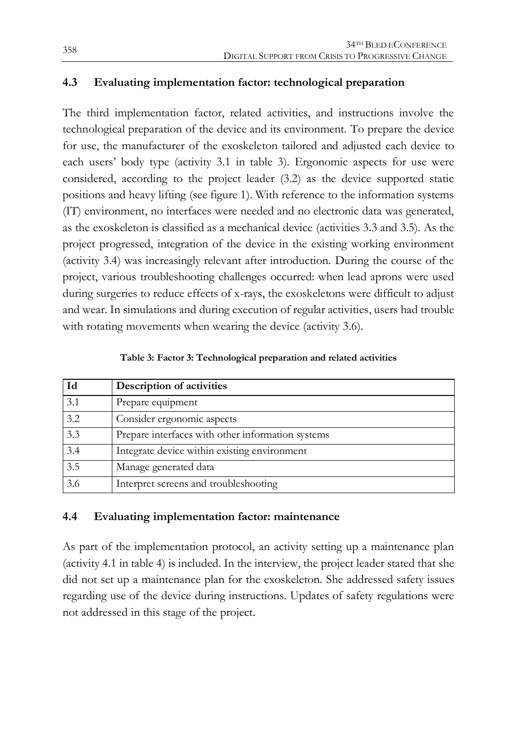### **4.3 Evaluating implementation factor: technological preparation**

The third implementation factor, related activities, and instructions involve the technological preparation of the device and its environment. To prepare the device for use, the manufacturer of the exoskeleton tailored and adjusted each device to each users' body type (activity 3.1 in table 3). Ergonomic aspects for use were considered, according to the project leader (3.2) as the device supported static positions and heavy lifting (see figure 1). With reference to the information systems (IT) environment, no interfaces were needed and no electronic data was generated, as the exoskeleton is classified as a mechanical device (activities 3.3 and 3.5). As the project progressed, integration of the device in the existing working environment (activity 3.4) was increasingly relevant after introduction. During the course of the project, various troubleshooting challenges occurred: when lead aprons were used during surgeries to reduce effects of x-rays, the exoskeletons were difficult to adjust and wear. In simulations and during execution of regular activities, users had trouble with rotating movements when wearing the device (activity 3.6).

| Id  | Description of activities                         |
|-----|---------------------------------------------------|
| 3.1 | Prepare equipment                                 |
| 3.2 | Consider ergonomic aspects                        |
| 3.3 | Prepare interfaces with other information systems |
| 3.4 | Integrate device within existing environment      |
| 3.5 | Manage generated data                             |
| 3.6 | Interpret screens and troubleshooting             |

**Table 3: Factor 3: Technological preparation and related activities**

#### **4.4 Evaluating implementation factor: maintenance**

As part of the implementation protocol, an activity setting up a maintenance plan (activity 4.1 in table 4) is included. In the interview, the project leader stated that she did not set up a maintenance plan for the exoskeleton. She addressed safety issues regarding use of the device during instructions. Updates of safety regulations were not addressed in this stage of the project.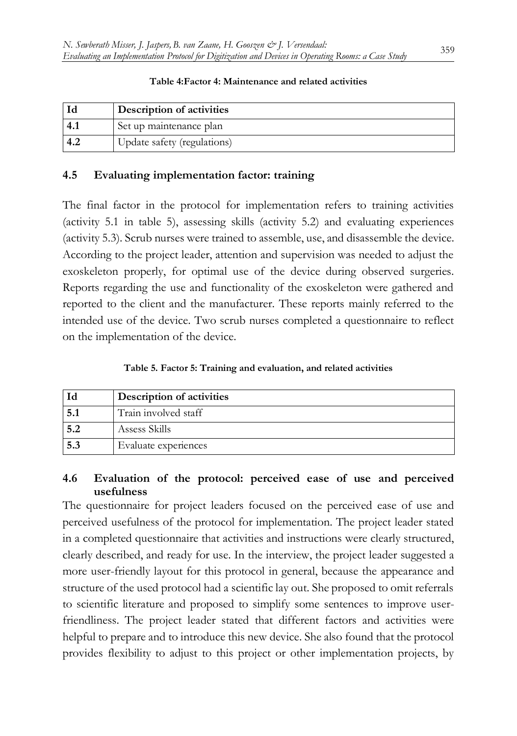|        | Description of activities   |
|--------|-----------------------------|
| $-4.1$ | Set up maintenance plan     |
| 4.2    | Update safety (regulations) |

#### **Table 4:Factor 4: Maintenance and related activities**

#### **4.5 Evaluating implementation factor: training**

The final factor in the protocol for implementation refers to training activities (activity 5.1 in table 5), assessing skills (activity 5.2) and evaluating experiences (activity 5.3). Scrub nurses were trained to assemble, use, and disassemble the device. According to the project leader, attention and supervision was needed to adjust the exoskeleton properly, for optimal use of the device during observed surgeries. Reports regarding the use and functionality of the exoskeleton were gathered and reported to the client and the manufacturer. These reports mainly referred to the intended use of the device. Two scrub nurses completed a questionnaire to reflect on the implementation of the device.

**Table 5. Factor 5: Training and evaluation, and related activities**

|     | Description of activities |
|-----|---------------------------|
|     | Train involved staff      |
| 5.2 | Assess Skills             |
| 5.3 | Evaluate experiences      |

#### **4.6 Evaluation of the protocol: perceived ease of use and perceived usefulness**

The questionnaire for project leaders focused on the perceived ease of use and perceived usefulness of the protocol for implementation. The project leader stated in a completed questionnaire that activities and instructions were clearly structured, clearly described, and ready for use. In the interview, the project leader suggested a more user-friendly layout for this protocol in general, because the appearance and structure of the used protocol had a scientific lay out. She proposed to omit referrals to scientific literature and proposed to simplify some sentences to improve userfriendliness. The project leader stated that different factors and activities were helpful to prepare and to introduce this new device. She also found that the protocol provides flexibility to adjust to this project or other implementation projects, by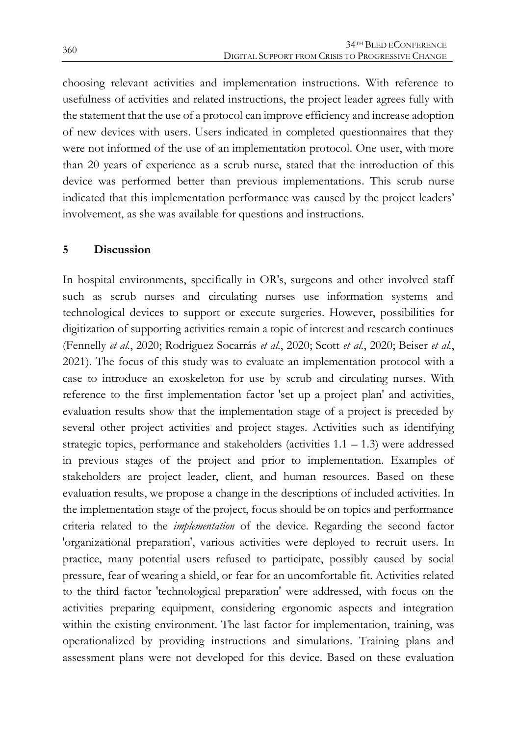choosing relevant activities and implementation instructions. With reference to usefulness of activities and related instructions, the project leader agrees fully with the statement that the use of a protocol can improve efficiency and increase adoption of new devices with users. Users indicated in completed questionnaires that they were not informed of the use of an implementation protocol. One user, with more than 20 years of experience as a scrub nurse, stated that the introduction of this device was performed better than previous implementations. This scrub nurse indicated that this implementation performance was caused by the project leaders' involvement, as she was available for questions and instructions.

#### **5 Discussion**

In hospital environments, specifically in OR's, surgeons and other involved staff such as scrub nurses and circulating nurses use information systems and technological devices to support or execute surgeries. However, possibilities for digitization of supporting activities remain a topic of interest and research continues (Fennelly *et al.*, 2020; Rodriguez Socarrás *et al.*, 2020; Scott *et al.*, 2020; Beiser *et al.*, 2021). The focus of this study was to evaluate an implementation protocol with a case to introduce an exoskeleton for use by scrub and circulating nurses. With reference to the first implementation factor 'set up a project plan' and activities, evaluation results show that the implementation stage of a project is preceded by several other project activities and project stages. Activities such as identifying strategic topics, performance and stakeholders (activities 1.1 – 1.3) were addressed in previous stages of the project and prior to implementation. Examples of stakeholders are project leader, client, and human resources. Based on these evaluation results, we propose a change in the descriptions of included activities. In the implementation stage of the project, focus should be on topics and performance criteria related to the *implementation* of the device. Regarding the second factor 'organizational preparation', various activities were deployed to recruit users. In practice, many potential users refused to participate, possibly caused by social pressure, fear of wearing a shield, or fear for an uncomfortable fit. Activities related to the third factor 'technological preparation' were addressed, with focus on the activities preparing equipment, considering ergonomic aspects and integration within the existing environment. The last factor for implementation, training, was operationalized by providing instructions and simulations. Training plans and assessment plans were not developed for this device. Based on these evaluation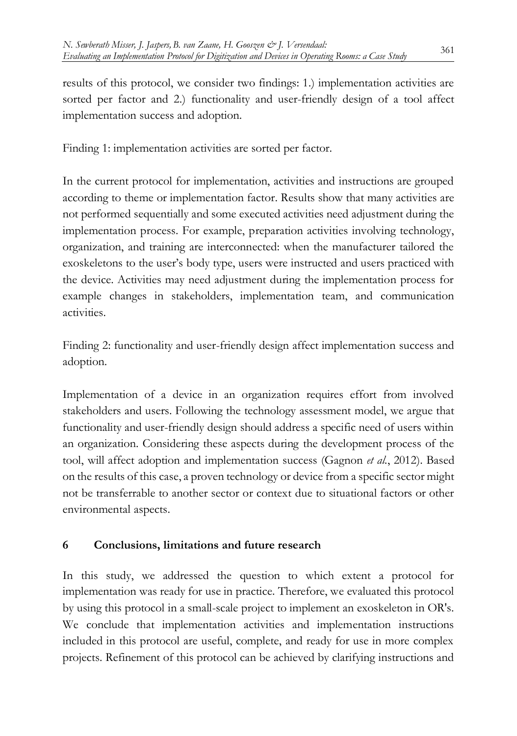results of this protocol, we consider two findings: 1.) implementation activities are sorted per factor and 2.) functionality and user-friendly design of a tool affect implementation success and adoption.

Finding 1: implementation activities are sorted per factor.

In the current protocol for implementation, activities and instructions are grouped according to theme or implementation factor. Results show that many activities are not performed sequentially and some executed activities need adjustment during the implementation process. For example, preparation activities involving technology, organization, and training are interconnected: when the manufacturer tailored the exoskeletons to the user's body type, users were instructed and users practiced with the device. Activities may need adjustment during the implementation process for example changes in stakeholders, implementation team, and communication activities.

Finding 2: functionality and user-friendly design affect implementation success and adoption.

Implementation of a device in an organization requires effort from involved stakeholders and users. Following the technology assessment model, we argue that functionality and user-friendly design should address a specific need of users within an organization. Considering these aspects during the development process of the tool, will affect adoption and implementation success (Gagnon *et al.*, 2012). Based on the results of this case, a proven technology or device from a specific sector might not be transferrable to another sector or context due to situational factors or other environmental aspects.

### **6 Conclusions, limitations and future research**

In this study, we addressed the question to which extent a protocol for implementation was ready for use in practice. Therefore, we evaluated this protocol by using this protocol in a small-scale project to implement an exoskeleton in OR's. We conclude that implementation activities and implementation instructions included in this protocol are useful, complete, and ready for use in more complex projects. Refinement of this protocol can be achieved by clarifying instructions and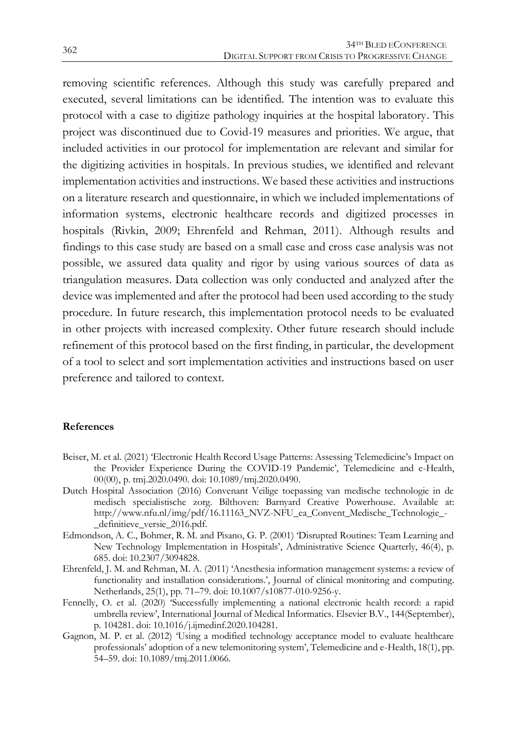removing scientific references. Although this study was carefully prepared and executed, several limitations can be identified. The intention was to evaluate this protocol with a case to digitize pathology inquiries at the hospital laboratory. This project was discontinued due to Covid-19 measures and priorities. We argue, that included activities in our protocol for implementation are relevant and similar for the digitizing activities in hospitals. In previous studies, we identified and relevant implementation activities and instructions. We based these activities and instructions on a literature research and questionnaire, in which we included implementations of information systems, electronic healthcare records and digitized processes in hospitals (Rivkin, 2009; Ehrenfeld and Rehman, 2011). Although results and findings to this case study are based on a small case and cross case analysis was not possible, we assured data quality and rigor by using various sources of data as triangulation measures. Data collection was only conducted and analyzed after the device was implemented and after the protocol had been used according to the study procedure. In future research, this implementation protocol needs to be evaluated in other projects with increased complexity. Other future research should include refinement of this protocol based on the first finding, in particular, the development of a tool to select and sort implementation activities and instructions based on user preference and tailored to context.

#### **References**

- Beiser, M. et al. (2021) 'Electronic Health Record Usage Patterns: Assessing Telemedicine's Impact on the Provider Experience During the COVID-19 Pandemic', Telemedicine and e-Health, 00(00), p. tmj.2020.0490. doi: 10.1089/tmj.2020.0490.
- Dutch Hospital Association (2016) Convenant Veilige toepassing van medische technologie in de medisch specialistische zorg. Bilthoven: Barnyard Creative Powerhouse. Available at: http://www.nfu.nl/img/pdf/16.11163\_NVZ-NFU\_ea\_Convent\_Medische\_Technologie\_- \_definitieve\_versie\_2016.pdf.
- Edmondson, A. C., Bohmer, R. M. and Pisano, G. P. (2001) 'Disrupted Routines: Team Learning and New Technology Implementation in Hospitals', Administrative Science Quarterly, 46(4), p. 685. doi: 10.2307/3094828.
- Ehrenfeld, J. M. and Rehman, M. A. (2011) 'Anesthesia information management systems: a review of functionality and installation considerations.', Journal of clinical monitoring and computing. Netherlands, 25(1), pp. 71–79. doi: 10.1007/s10877-010-9256-y.
- Fennelly, O. et al. (2020) 'Successfully implementing a national electronic health record: a rapid umbrella review', International Journal of Medical Informatics. Elsevier B.V., 144(September), p. 104281. doi: 10.1016/j.ijmedinf.2020.104281.
- Gagnon, M. P. et al. (2012) 'Using a modified technology acceptance model to evaluate healthcare professionals' adoption of a new telemonitoring system', Telemedicine and e-Health, 18(1), pp. 54–59. doi: 10.1089/tmj.2011.0066.